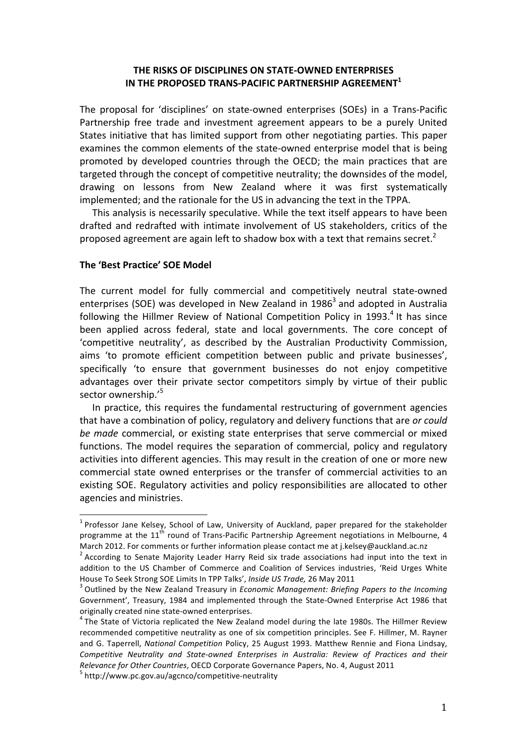## **THE RISKS OF DISCIPLINES ON STATE-OWNED ENTERPRISES** IN THE PROPOSED TRANS-PACIFIC PARTNERSHIP AGREEMENT<sup>1</sup>

The proposal for 'disciplines' on state-owned enterprises (SOEs) in a Trans-Pacific Partnership free trade and investment agreement appears to be a purely United States initiative that has limited support from other negotiating parties. This paper examines the common elements of the state-owned enterprise model that is being promoted by developed countries through the OECD; the main practices that are targeted through the concept of competitive neutrality; the downsides of the model, drawing on lessons from New Zealand where it was first systematically implemented; and the rationale for the US in advancing the text in the TPPA.

This analysis is necessarily speculative. While the text itself appears to have been drafted and redrafted with intimate involvement of US stakeholders, critics of the proposed agreement are again left to shadow box with a text that remains secret.<sup>2</sup>

### **The 'Best\$Practice'\$SOE\$Model**

The current model for fully commercial and competitively neutral state-owned enterprises (SOE) was developed in New Zealand in 1986<sup>3</sup> and adopted in Australia following the Hillmer Review of National Competition Policy in 1993. $4$  It has since been applied across federal, state and local governments. The core concept of 'competitive neutrality', as described by the Australian Productivity Commission, aims 'to promote efficient competition between public and private businesses'. specifically 'to ensure that government businesses do not enjoy competitive advantages over their private sector competitors simply by virtue of their public sector ownership.'<sup>5</sup>

In practice, this requires the fundamental restructuring of government agencies that have a combination of policy, regulatory and delivery functions that are *or could* be made commercial, or existing state enterprises that serve commercial or mixed functions. The model requires the separation of commercial, policy and regulatory activities into different agencies. This may result in the creation of one or more new commercial state owned enterprises or the transfer of commercial activities to an existing SOE. Regulatory activities and policy responsibilities are allocated to other agencies and ministries.

 $1$  Professor Jane Kelsey, School of Law, University of Auckland, paper prepared for the stakeholder programme at the  $11<sup>th</sup>$  round of Trans-Pacific Partnership Agreement negotiations in Melbourne, 4 March 2012. For comments or further information please contact me at j.kelsey@auckland.ac.nz  $^2$  According to Senate Majority Leader Harry Reid six trade associations had input into the text in

addition to the US Chamber of Commerce and Coalition of Services industries. 'Reid Urges White House To Seek Strong SOE Limits In TPP Talks', *Inside US Trade*, 26 May 2011<br><sup>3</sup> Outlined by the New Zealand Treasury in *Economic Management: Briefing Papers to the Incoming* 

Government', Treasury, 1984 and implemented through the State-Owned Enterprise Act 1986 that originally created nine state-owned enterprises.<br> $4$  The State of Victoria replicated the New Zealand model during the late 1980s. The Hillmer Review

recommended competitive neutrality as one of six competition principles. See F. Hillmer, M. Rayner and G. Taperrell, *National Competition Policy*, 25 August 1993. Matthew Rennie and Fiona Lindsay, *Competitive Neutrality and State-owned Enterprises in Australia: Review of Practices and their Relevance for Other Countries*, OECD Corporate Governance Papers, No. 4, August 2011 5 http://www.pc.gov.au/agcnco/competitive-neutrality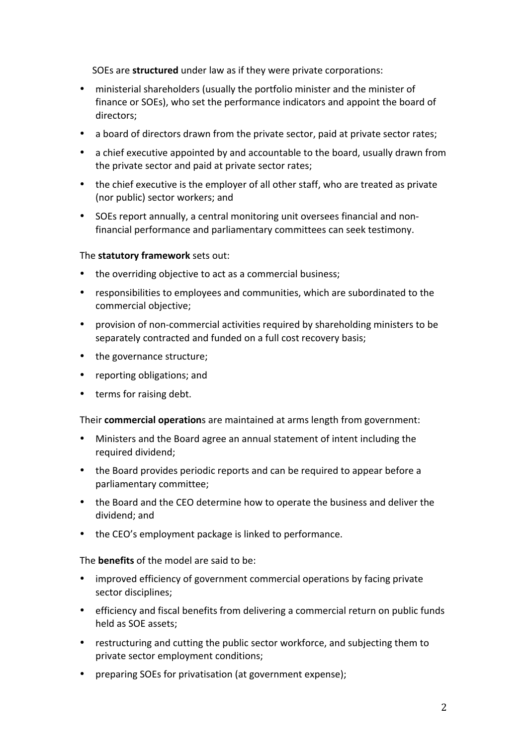SOEs are **structured** under law as if they were private corporations:

- ministerial shareholders (usually the portfolio minister and the minister of finance or SOEs), who set the performance indicators and appoint the board of directors;
- a board of directors drawn from the private sector, paid at private sector rates;
- a chief executive appointed by and accountable to the board, usually drawn from the private sector and paid at private sector rates;
- the chief executive is the employer of all other staff, who are treated as private (nor public) sector workers; and
- SOEs report annually, a central monitoring unit oversees financial and nonfinancial performance and parliamentary committees can seek testimony.

### The **statutory framework** sets out:

- the overriding objective to act as a commercial business;
- responsibilities to employees and communities, which are subordinated to the commercial objective;
- provision of non-commercial activities required by shareholding ministers to be separately contracted and funded on a full cost recovery basis;
- the governance structure;
- reporting obligations; and
- terms for raising debt.

Their **commercial operation**s are maintained at arms length from government:

- Ministers and the Board agree an annual statement of intent including the required dividend;
- the Board provides periodic reports and can be required to appear before a parliamentary committee;
- the Board and the CEO determine how to operate the business and deliver the dividend; and
- the CEO's employment package is linked to performance.

The **benefits** of the model are said to be:

- improved efficiency of government commercial operations by facing private sector disciplines;
- efficiency and fiscal benefits from delivering a commercial return on public funds held as SOE assets;
- restructuring and cutting the public sector workforce, and subjecting them to private sector employment conditions;
- preparing SOEs for privatisation (at government expense);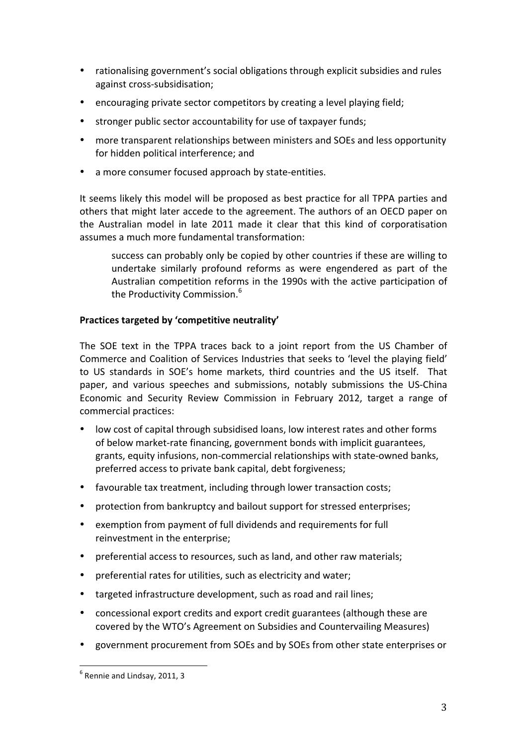- rationalising government's social obligations through explicit subsidies and rules against cross-subsidisation;
- encouraging private sector competitors by creating a level playing field;
- stronger public sector accountability for use of taxpayer funds;
- more transparent relationships between ministers and SOEs and less opportunity for hidden political interference; and
- a more consumer focused approach by state-entities.

It seems likely this model will be proposed as best practice for all TPPA parties and others that might later accede to the agreement. The authors of an OECD paper on the Australian model in late 2011 made it clear that this kind of corporatisation assumes a much more fundamental transformation:

success can probably only be copied by other countries if these are willing to undertake similarly profound reforms as were engendered as part of the Australian competition reforms in the 1990s with the active participation of the Productivity Commission.<sup>6</sup>

# Practices targeted by 'competitive neutrality'

The SOE text in the TPPA traces back to a joint report from the US Chamber of Commerce and Coalition of Services Industries that seeks to 'level the playing field' to US standards in SOE's home markets, third countries and the US itself. That paper, and various speeches and submissions, notably submissions the US-China Economic and Security Review Commission in February 2012, target a range of commercial practices:

- low cost of capital through subsidised loans, low interest rates and other forms of below market-rate financing, government bonds with implicit guarantees, grants, equity infusions, non-commercial relationships with state-owned banks, preferred access to private bank capital, debt forgiveness;
- favourable tax treatment, including through lower transaction costs;
- protection from bankruptcy and bailout support for stressed enterprises;
- exemption from payment of full dividends and requirements for full reinvestment in the enterprise;
- preferential access to resources, such as land, and other raw materials;
- preferential rates for utilities, such as electricity and water;
- targeted infrastructure development, such as road and rail lines;
- concessional export credits and export credit guarantees (although these are covered by the WTO's Agreement on Subsidies and Countervailing Measures)
- government procurement from SOEs and by SOEs from other state enterprises or

 $<sup>6</sup>$  Rennie and Lindsay, 2011, 3</sup>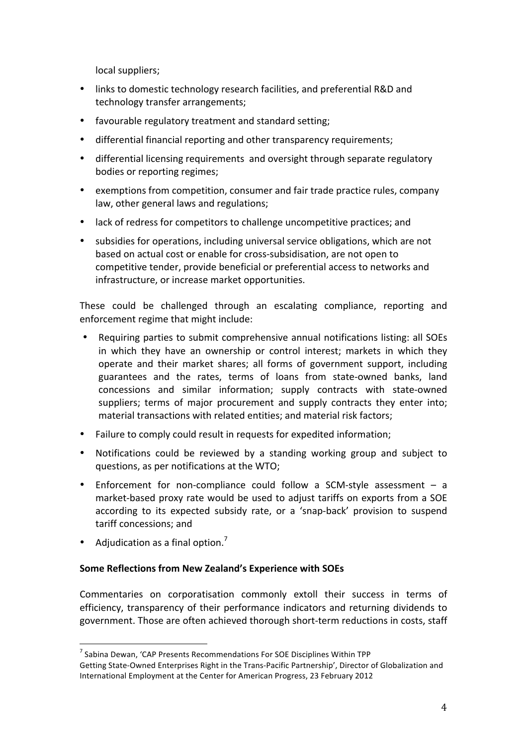local suppliers;

- links to domestic technology research facilities, and preferential R&D and technology transfer arrangements;
- favourable regulatory treatment and standard setting;
- differential financial reporting and other transparency requirements;
- differential licensing requirements and oversight through separate regulatory bodies or reporting regimes;
- exemptions from competition, consumer and fair trade practice rules, company law, other general laws and regulations;
- lack of redress for competitors to challenge uncompetitive practices; and
- subsidies for operations, including universal service obligations, which are not based on actual cost or enable for cross-subsidisation, are not open to competitive tender, provide beneficial or preferential access to networks and infrastructure, or increase market opportunities.

These could be challenged through an escalating compliance, reporting and enforcement regime that might include:

- Requiring parties to submit comprehensive annual notifications listing: all SOEs in which they have an ownership or control interest; markets in which they operate and their market shares; all forms of government support, including guarantees and the rates, terms of loans from state-owned banks, land concessions and similar information; supply contracts with state-owned suppliers; terms of major procurement and supply contracts they enter into; material transactions with related entities; and material risk factors;
- Failure to comply could result in requests for expedited information;
- Notifications could be reviewed by a standing working group and subject to questions, as per notifications at the WTO;
- Enforcement for non-compliance could follow a SCM-style assessment  $-$  a market-based proxy rate would be used to adjust tariffs on exports from a SOE according to its expected subsidy rate, or a 'snap-back' provision to suspend tariff concessions; and
- Adjudication as a final option.<sup>7</sup>

# **Some Reflections from New Zealand's Experience with SOEs**

Commentaries on corporatisation commonly extoll their success in terms of efficiency, transparency of their performance indicators and returning dividends to government. Those are often achieved thorough short-term reductions in costs, staff

 $17$  Sabina Dewan, 'CAP Presents Recommendations For SOE Disciplines Within TPP

Getting State-Owned Enterprises Right in the Trans-Pacific Partnership', Director of Globalization and International Employment at the Center for American Progress, 23 February 2012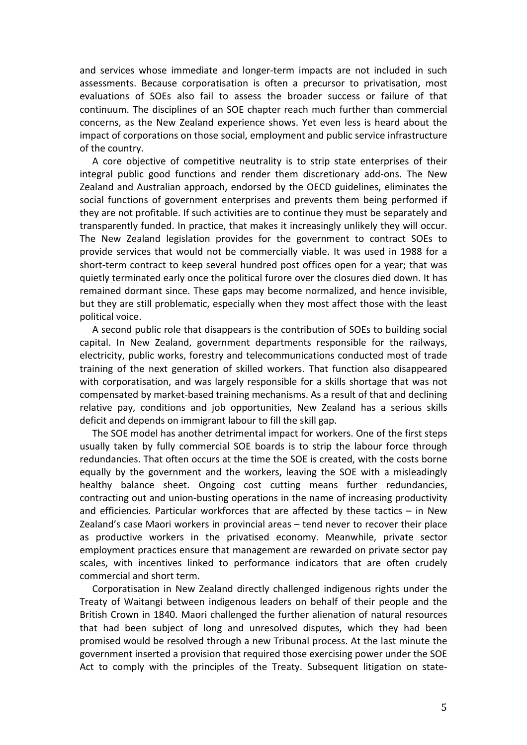and services whose immediate and longer-term impacts are not included in such assessments. Because corporatisation is often a precursor to privatisation, most evaluations of SOEs also fail to assess the broader success or failure of that continuum. The disciplines of an SOE chapter reach much further than commercial concerns, as the New Zealand experience shows. Yet even less is heard about the impact of corporations on those social, employment and public service infrastructure of the country.

A core objective of competitive neutrality is to strip state enterprises of their integral public good functions and render them discretionary add-ons. The New Zealand and Australian approach, endorsed by the OECD guidelines, eliminates the social functions of government enterprises and prevents them being performed if they are not profitable. If such activities are to continue they must be separately and transparently funded. In practice, that makes it increasingly unlikely they will occur. The New Zealand legislation provides for the government to contract SOEs to provide services that would not be commercially viable. It was used in 1988 for a short-term contract to keep several hundred post offices open for a year; that was quietly terminated early once the political furore over the closures died down. It has remained dormant since. These gaps may become normalized, and hence invisible, but they are still problematic, especially when they most affect those with the least political voice.

A second public role that disappears is the contribution of SOEs to building social capital. In New Zealand, government departments responsible for the railways, electricity, public works, forestry and telecommunications conducted most of trade training of the next generation of skilled workers. That function also disappeared with corporatisation, and was largely responsible for a skills shortage that was not compensated by market-based training mechanisms. As a result of that and declining relative pay, conditions and job opportunities, New Zealand has a serious skills deficit and depends on immigrant labour to fill the skill gap.

The SOE model has another detrimental impact for workers. One of the first steps usually taken by fully commercial SOE boards is to strip the labour force through redundancies. That often occurs at the time the SOE is created, with the costs borne equally by the government and the workers, leaving the SOE with a misleadingly healthy balance sheet. Ongoing cost cutting means further redundancies, contracting out and union-busting operations in the name of increasing productivity and efficiencies. Particular workforces that are affected by these tactics  $-$  in New Zealand's case Maori workers in provincial areas  $-$  tend never to recover their place as productive workers in the privatised economy. Meanwhile, private sector employment practices ensure that management are rewarded on private sector pay scales, with incentives linked to performance indicators that are often crudely commercial and short term.

Corporatisation in New Zealand directly challenged indigenous rights under the Treaty of Waitangi between indigenous leaders on behalf of their people and the British Crown in 1840. Maori challenged the further alienation of natural resources that had been subject of long and unresolved disputes, which they had been promised would be resolved through a new Tribunal process. At the last minute the government inserted a provision that required those exercising power under the SOE Act to comply with the principles of the Treaty. Subsequent litigation on state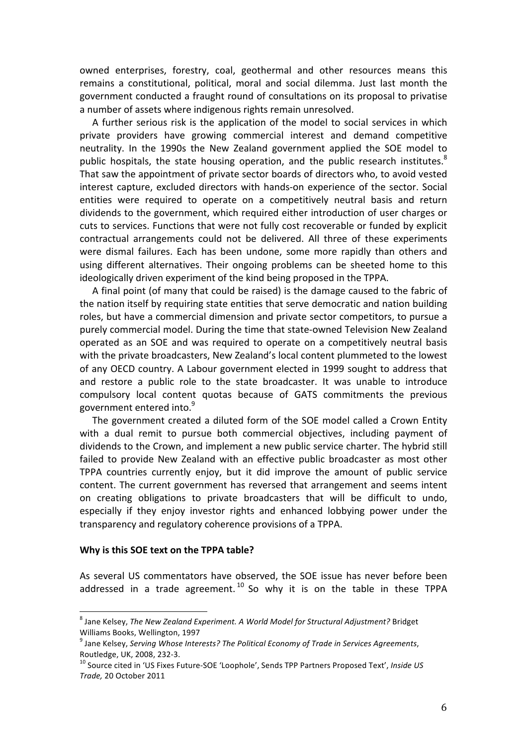owned enterprises, forestry, coal, geothermal and other resources means this remains a constitutional, political, moral and social dilemma. Just last month the government conducted a fraught round of consultations on its proposal to privatise a number of assets where indigenous rights remain unresolved.

A further serious risk is the application of the model to social services in which private providers have growing commercial interest and demand competitive neutrality. In the 1990s the New Zealand government applied the SOE model to public hospitals, the state housing operation, and the public research institutes. $8$ That saw the appointment of private sector boards of directors who, to avoid vested interest capture, excluded directors with hands-on experience of the sector. Social entities were required to operate on a competitively neutral basis and return dividends to the government, which required either introduction of user charges or cuts to services. Functions that were not fully cost recoverable or funded by explicit contractual arrangements could not be delivered. All three of these experiments were dismal failures. Each has been undone, some more rapidly than others and using different alternatives. Their ongoing problems can be sheeted home to this ideologically driven experiment of the kind being proposed in the TPPA.

A final point (of many that could be raised) is the damage caused to the fabric of the nation itself by requiring state entities that serve democratic and nation building roles, but have a commercial dimension and private sector competitors, to pursue a purely commercial model. During the time that state-owned Television New Zealand operated as an SOE and was required to operate on a competitively neutral basis with the private broadcasters, New Zealand's local content plummeted to the lowest of any OECD country. A Labour government elected in 1999 sought to address that and restore a public role to the state broadcaster. It was unable to introduce compulsory local content quotas because of GATS commitments the previous government entered into.<sup>9</sup>

The government created a diluted form of the SOE model called a Crown Entity with a dual remit to pursue both commercial objectives, including payment of dividends to the Crown, and implement a new public service charter. The hybrid still failed to provide New Zealand with an effective public broadcaster as most other TPPA countries currently enjoy, but it did improve the amount of public service content. The current government has reversed that arrangement and seems intent on creating obligations to private broadcasters that will be difficult to undo, especially if they enjoy investor rights and enhanced lobbying power under the transparency and regulatory coherence provisions of a TPPA.

#### **Why is this SOE text on the TPPA table?**

As several US commentators have observed, the SOE issue has never before been addressed in a trade agreement.  $10$  So why it is on the table in these TPPA

 $^8$  Jane Kelsey, The New Zealand Experiment. A World Model for Structural Adjustment? Bridget Williams Books, Wellington, 1997

<sup>&</sup>lt;sup>9</sup> Jane Kelsey, Serving Whose Interests? The Political Economy of Trade in Services Agreements, Routledge, UK, 2008, 232-3.<br><sup>10</sup> Source cited in 'US Fixes Future-SOE 'Loophole', Sends TPP Partners Proposed Text', *Inside US* 

*Trade,* 20!October!2011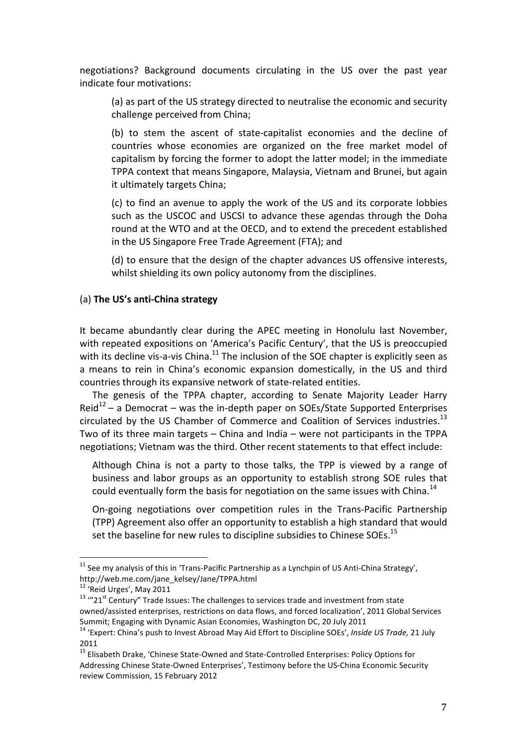negotiations? Background documents circulating in the US over the past year indicate four motivations:

(a) as part of the US strategy directed to neutralise the economic and security challenge perceived from China;

(b) to stem the ascent of state-capitalist economies and the decline of countries whose economies are organized on the free market model of capitalism by forcing the former to adopt the latter model; in the immediate TPPA context that means Singapore, Malaysia, Vietnam and Brunei, but again it ultimately targets China;

(c) to find an avenue to apply the work of the US and its corporate lobbies such as the USCOC and USCSI to advance these agendas through the Doha round at the WTO and at the OECD, and to extend the precedent established in the US Singapore Free Trade Agreement (FTA); and

(d) to ensure that the design of the chapter advances US offensive interests, whilst shielding its own policy autonomy from the disciplines.

## (a) The US's anti-China strategy

It became abundantly clear during the APEC meeting in Honolulu last November, with repeated expositions on 'America's Pacific Century', that the US is preoccupied with its decline vis-a-vis China.<sup>11</sup> The inclusion of the SOE chapter is explicitly seen as a means to rein in China's economic expansion domestically, in the US and third countries through its expansive network of state-related entities.

The genesis of the TPPA chapter, according to Senate Majority Leader Harry  $\text{Reid}^{12}$  – a Democrat – was the in-depth paper on SOEs/State Supported Enterprises circulated by the US Chamber of Commerce and Coalition of Services industries.<sup>13</sup> Two of its three main targets - China and India - were not participants in the TPPA negotiations; Vietnam was the third. Other recent statements to that effect include:

Although China is not a party to those talks, the TPP is viewed by a range of business and labor groups as an opportunity to establish strong SOE rules that could eventually form the basis for negotiation on the same issues with China.<sup>14</sup>

On-going negotiations over competition rules in the Trans-Pacific Partnership (TPP) Agreement also offer an opportunity to establish a high standard that would set the baseline for new rules to discipline subsidies to Chinese SOEs.<sup>15</sup>

 $11$  See mv analysis of this in 'Trans-Pacific Partnership as a Lynchpin of US Anti-China Strategy', http://web.me.com/jane kelsey/Jane/TPPA.html

<sup>&</sup>lt;sup>12</sup> 'Reid Urges', May 2011

<sup>&</sup>lt;sup>13</sup> "21<sup>st</sup> Century" Trade Issues: The challenges to services trade and investment from state owned/assisted enterprises, restrictions on data flows, and forced localization', 2011 Global Services Summit; Engaging with Dynamic Asian Economies, Washington DC, 20 July 2011

<sup>&</sup>lt;sup>14</sup> 'Expert: China's push to Invest Abroad May Aid Effort to Discipline SOEs', Inside US Trade, 21 July 2011

<sup>&</sup>lt;sup>15</sup> Elisabeth Drake, 'Chinese State-Owned and State-Controlled Enterprises: Policy Options for Addressing Chinese State-Owned Enterprises', Testimony before the US-China Economic Security review Commission, 15 February 2012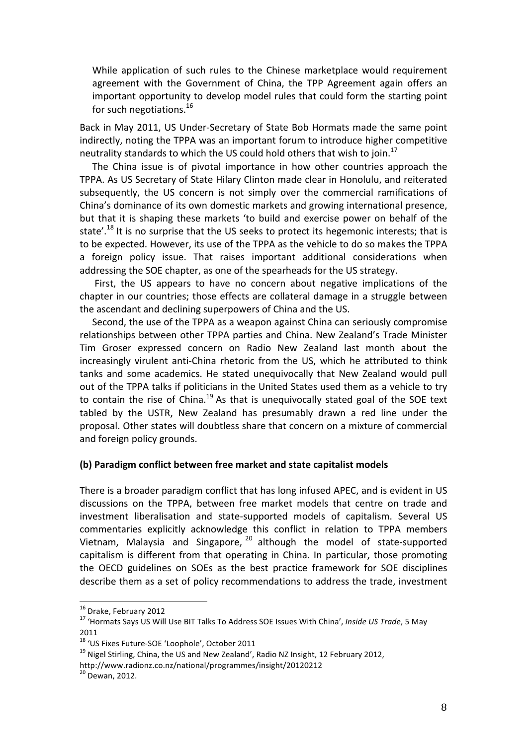While application of such rules to the Chinese marketplace would requirement agreement with the Government of China, the TPP Agreement again offers an important opportunity to develop model rules that could form the starting point for such negotiations. $^{16}$ 

Back in May 2011, US Under-Secretary of State Bob Hormats made the same point indirectly, noting the TPPA was an important forum to introduce higher competitive neutrality standards to which the US could hold others that wish to join.<sup>17</sup>

The China issue is of pivotal importance in how other countries approach the TPPA. As US Secretary of State Hilary Clinton made clear in Honolulu, and reiterated subsequently, the US concern is not simply over the commercial ramifications of China's dominance of its own domestic markets and growing international presence, but that it is shaping these markets 'to build and exercise power on behalf of the state'.<sup>18</sup> It is no surprise that the US seeks to protect its hegemonic interests; that is to be expected. However, its use of the TPPA as the vehicle to do so makes the TPPA a foreign policy issue. That raises important additional considerations when addressing the SOE chapter, as one of the spearheads for the US strategy.

First, the US appears to have no concern about negative implications of the chapter in our countries; those effects are collateral damage in a struggle between the ascendant and declining superpowers of China and the US.

Second, the use of the TPPA as a weapon against China can seriously compromise relationships between other TPPA parties and China. New Zealand's Trade Minister Tim Groser expressed concern on Radio New Zealand last month about the increasingly virulent anti-China rhetoric from the US, which he attributed to think tanks and some academics. He stated unequivocally that New Zealand would pull out of the TPPA talks if politicians in the United States used them as a vehicle to try to contain the rise of China.<sup>19</sup> As that is unequivocally stated goal of the SOE text tabled by the USTR, New Zealand has presumably drawn a red line under the proposal. Other states will doubtless share that concern on a mixture of commercial and foreign policy grounds.

#### **(b)\$Paradigm\$conflict\$between\$free\$market\$and\$state\$capitalist\$models**

There is a broader paradigm conflict that has long infused APEC, and is evident in US discussions on the TPPA, between free market models that centre on trade and investment liberalisation and state-supported models of capitalism. Several US commentaries explicitly acknowledge this conflict in relation to TPPA members Vietnam, Malaysia and Singapore,  $20$  although the model of state-supported capitalism is different from that operating in China. In particular, those promoting the OECD guidelines on SOEs as the best practice framework for SOE disciplines describe them as a set of policy recommendations to address the trade, investment

<sup>&</sup>lt;sup>16</sup> Drake, February 2012<br><sup>17</sup> 'Hormats Says US Will Use BIT Talks To Address SOE Issues With China', *Inside US Trade*, 5 May 2011<br><sup>18</sup> 'US Fixes Future-SOE 'Loophole', October 2011

 $19$  Nigel Stirling, China, the US and New Zealand', Radio NZ Insight, 12 February 2012, http://www.radionz.co.nz/national/programmes/insight/20120212

 $20$  Dewan, 2012.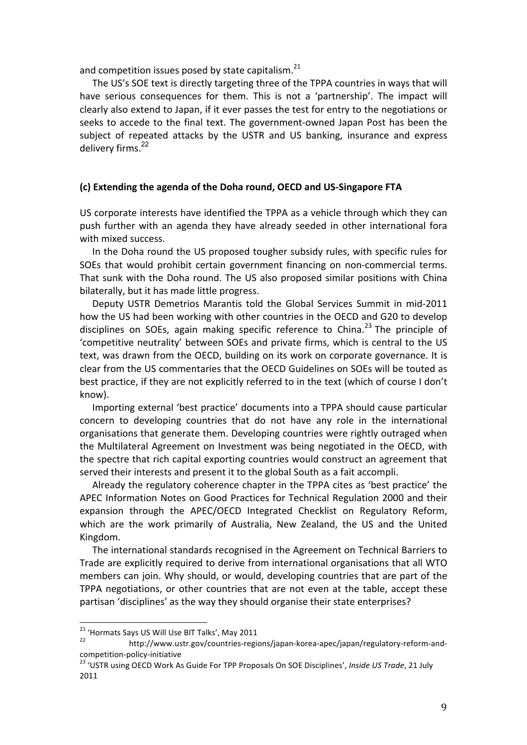and competition issues posed by state capitalism.<sup>21</sup>

The US's SOE text is directly targeting three of the TPPA countries in ways that will have serious consequences for them. This is not a 'partnership'. The impact will clearly also extend to Japan, if it ever passes the test for entry to the negotiations or seeks to accede to the final text. The government-owned Japan Post has been the subject of repeated attacks by the USTR and US banking, insurance and express delivery firms.<sup>22</sup>

### (c) Extending the agenda of the Doha round, OECD and US-Singapore FTA

US corporate interests have identified the TPPA as a vehicle through which they can push further with an agenda they have already seeded in other international fora with mixed success.

In the Doha round the US proposed tougher subsidy rules, with specific rules for SOEs that would prohibit certain government financing on non-commercial terms. That sunk with the Doha round. The US also proposed similar positions with China bilaterally, but it has made little progress.

Deputy USTR Demetrios Marantis told the Global Services Summit in mid-2011 how the US had been working with other countries in the OECD and G20 to develop disciplines on SOEs, again making specific reference to China.<sup>23</sup> The principle of 'competitive neutrality' between SOEs and private firms, which is central to the US text, was drawn from the OECD, building on its work on corporate governance. It is clear from the US commentaries that the OECD Guidelines on SOEs will be touted as best practice, if they are not explicitly referred to in the text (which of course I don't know).

Importing external 'best practice' documents into a TPPA should cause particular concern to developing countries that do not have any role in the international organisations that generate them. Developing countries were rightly outraged when the Multilateral Agreement on Investment was being negotiated in the OECD, with the spectre that rich capital exporting countries would construct an agreement that served their interests and present it to the global South as a fait accompli.

Already the regulatory coherence chapter in the TPPA cites as 'best practice' the APEC Information Notes on Good Practices for Technical Regulation 2000 and their expansion through the APEC/OECD Integrated Checklist on Regulatory Reform, which are the work primarily of Australia, New Zealand, the US and the United Kingdom.

The international standards recognised in the Agreement on Technical Barriers to Trade are explicitly required to derive from international organisations that all WTO members can join. Why should, or would, developing countries that are part of the TPPA negotiations, or other countries that are not even at the table, accept these partisan 'disciplines' as the way they should organise their state enterprises?

<sup>&</sup>lt;sup>21</sup> 'Hormats Says US Will Use BIT Talks', May 2011

 $22$ http://www.ustr.gov/countries-regions/japan-korea-apec/japan/regulatory-reform-andcompetition-policy-initiative

<sup>&</sup>lt;sup>23</sup> 'USTR using OECD Work As Guide For TPP Proposals On SOE Disciplines', Inside US Trade, 21 July 2011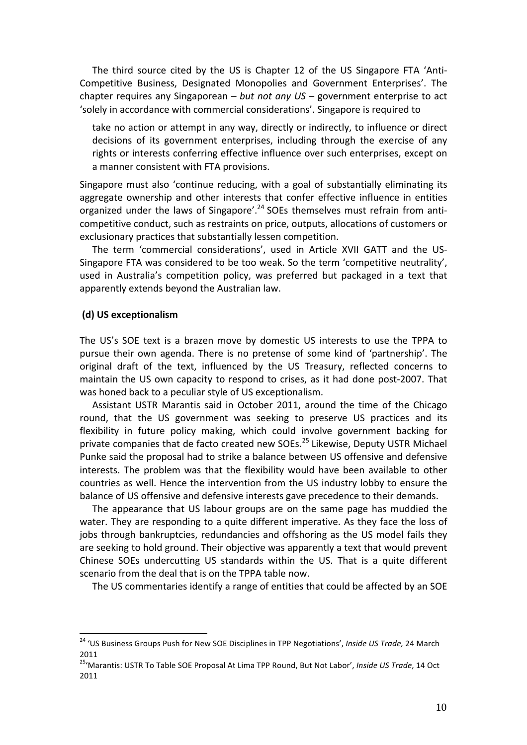The third source cited by the US is Chapter 12 of the US Singapore FTA 'Anti-Competitive Business, Designated Monopolies and Government Enterprises'. The chapter requires any Singaporean – *but not any US* – government enterprise to act 'solely in accordance with commercial considerations'. Singapore is required to

take no action or attempt in any way, directly or indirectly, to influence or direct decisions of its government enterprises, including through the exercise of any rights or interests conferring effective influence over such enterprises, except on a manner consistent with FTA provisions.

Singapore must also 'continue reducing, with a goal of substantially eliminating its aggregate ownership and other interests that confer effective influence in entities organized under the laws of Singapore'.<sup>24</sup> SOEs themselves must refrain from anticompetitive conduct, such as restraints on price, outputs, allocations of customers or exclusionary practices that substantially lessen competition.

The term 'commercial considerations', used in Article XVII GATT and the US-Singapore FTA was considered to be too weak. So the term 'competitive neutrality', used in Australia's competition policy, was preferred but packaged in a text that apparently extends beyond the Australian law.

#### **(d) US exceptionalism**

The US's SOE text is a brazen move by domestic US interests to use the TPPA to pursue their own agenda. There is no pretense of some kind of 'partnership'. The original draft of the text, influenced by the US Treasury, reflected concerns to maintain the US own capacity to respond to crises, as it had done post-2007. That was honed back to a peculiar style of US exceptionalism.

Assistant USTR Marantis said in October 2011, around the time of the Chicago round, that the US government was seeking to preserve US practices and its flexibility in future policy making, which could involve government backing for private companies that de facto created new SOEs.<sup>25</sup> Likewise, Deputy USTR Michael Punke said the proposal had to strike a balance between US offensive and defensive interests. The problem was that the flexibility would have been available to other countries as well. Hence the intervention from the US industry lobby to ensure the balance of US offensive and defensive interests gave precedence to their demands.

The appearance that US labour groups are on the same page has muddied the water. They are responding to a quite different imperative. As they face the loss of jobs through bankruptcies, redundancies and offshoring as the US model fails they are seeking to hold ground. Their objective was apparently a text that would prevent Chinese SOEs undercutting US standards within the US. That is a quite different scenario from the deal that is on the TPPA table now.

The US commentaries identify a range of entities that could be affected by an SOE

<sup>&</sup>lt;sup>24</sup> 'US Business Groups Push for New SOE Disciplines in TPP Negotiations', Inside US Trade, 24 March 2011

<sup>&</sup>lt;sup>25</sup>'Marantis: USTR To Table SOE Proposal At Lima TPP Round, But Not Labor', *Inside US Trade*, 14 Oct 2011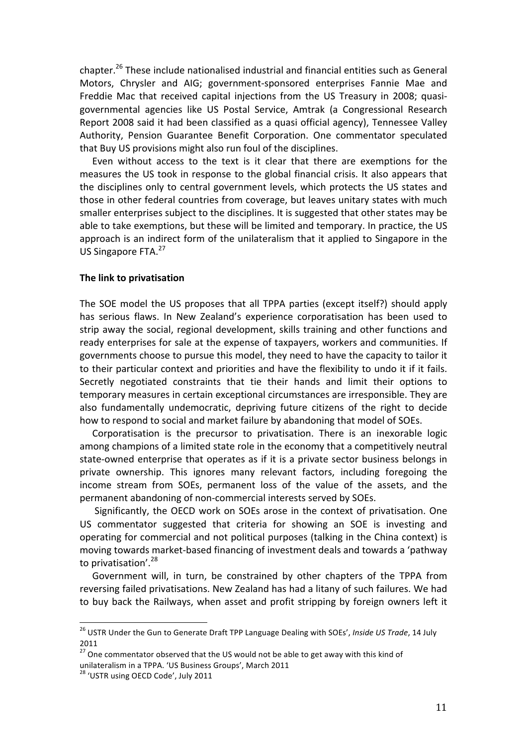chapter.<sup>26</sup> These include nationalised industrial and financial entities such as General Motors, Chrysler and AIG; government-sponsored enterprises Fannie Mae and Freddie Mac that received capital injections from the US Treasury in 2008; quasigovernmental agencies like US Postal Service, Amtrak (a Congressional Research Report 2008 said it had been classified as a quasi official agency), Tennessee Valley Authority, Pension Guarantee Benefit Corporation. One commentator speculated that Buy US provisions might also run foul of the disciplines.

Even without access to the text is it clear that there are exemptions for the measures the US took in response to the global financial crisis. It also appears that the disciplines only to central government levels, which protects the US states and those in other federal countries from coverage, but leaves unitary states with much smaller enterprises subject to the disciplines. It is suggested that other states may be able to take exemptions, but these will be limited and temporary. In practice, the US approach is an indirect form of the unilateralism that it applied to Singapore in the US Singapore FTA.<sup>27</sup>

#### **The link to privatisation**

The SOE model the US proposes that all TPPA parties (except itself?) should apply has serious flaws. In New Zealand's experience corporatisation has been used to strip away the social, regional development, skills training and other functions and ready enterprises for sale at the expense of taxpayers, workers and communities. If governments choose to pursue this model, they need to have the capacity to tailor it to their particular context and priorities and have the flexibility to undo it if it fails. Secretly negotiated constraints that tie their hands and limit their options to temporary measures in certain exceptional circumstances are irresponsible. They are also fundamentally undemocratic, depriving future citizens of the right to decide how to respond to social and market failure by abandoning that model of SOEs.

Corporatisation is the precursor to privatisation. There is an inexorable logic among champions of a limited state role in the economy that a competitively neutral state-owned enterprise that operates as if it is a private sector business belongs in private ownership. This ignores many relevant factors, including foregoing the income stream from SOEs, permanent loss of the value of the assets, and the permanent abandoning of non-commercial interests served by SOEs.

Significantly, the OECD work on SOEs arose in the context of privatisation. One US commentator suggested that criteria for showing an SOE is investing and operating for commercial and not political purposes (talking in the China context) is moving towards market-based financing of investment deals and towards a 'pathway to privatisation'.<sup>28</sup>

Government will, in turn, be constrained by other chapters of the TPPA from reversing failed privatisations. New Zealand has had a litany of such failures. We had to buy back the Railways, when asset and profit stripping by foreign owners left it

<sup>&</sup>lt;sup>26</sup> USTR Under the Gun to Generate Draft TPP Language Dealing with SOEs', *Inside US Trade*, 14 July 2011

 $27$  One commentator observed that the US would not be able to get away with this kind of unilateralism in a TPPA. 'US Business Groups', March 2011

<sup>&</sup>lt;sup>28</sup> 'USTR using OECD Code', July 2011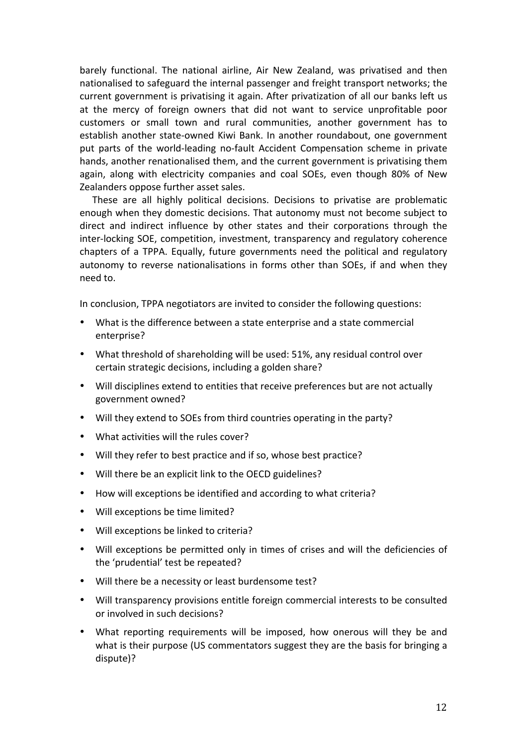barely functional. The national airline, Air New Zealand, was privatised and then nationalised to safeguard the internal passenger and freight transport networks; the current government is privatising it again. After privatization of all our banks left us at the mercy of foreign owners that did not want to service unprofitable poor customers or small town and rural communities, another government has to establish another state-owned Kiwi Bank. In another roundabout, one government put parts of the world-leading no-fault Accident Compensation scheme in private hands, another renationalised them, and the current government is privatising them again, along with electricity companies and coal SOEs, even though 80% of New Zealanders oppose further asset sales.

These are all highly political decisions. Decisions to privatise are problematic enough when they domestic decisions. That autonomy must not become subject to direct and indirect influence by other states and their corporations through the inter-locking SOE, competition, investment, transparency and regulatory coherence chapters of a TPPA. Equally, future governments need the political and regulatory autonomy to reverse nationalisations in forms other than SOEs, if and when they need to.

In conclusion, TPPA negotiators are invited to consider the following questions:

- What is the difference between a state enterprise and a state commercial enterprise?
- What threshold of shareholding will be used: 51%, any residual control over certain strategic decisions, including a golden share?
- Will disciplines extend to entities that receive preferences but are not actually government owned?
- Will they extend to SOEs from third countries operating in the party?
- What activities will the rules cover?
- Will they refer to best practice and if so, whose best practice?
- Will there be an explicit link to the OECD guidelines?
- How will exceptions be identified and according to what criteria?
- Will exceptions be time limited?
- Will exceptions be linked to criteria?
- Will exceptions be permitted only in times of crises and will the deficiencies of the 'prudential' test be repeated?
- Will there be a necessity or least burdensome test?
- Will transparency provisions entitle foreign commercial interests to be consulted or involved in such decisions?
- What reporting requirements will be imposed, how onerous will they be and what is their purpose (US commentators suggest they are the basis for bringing a dispute)?